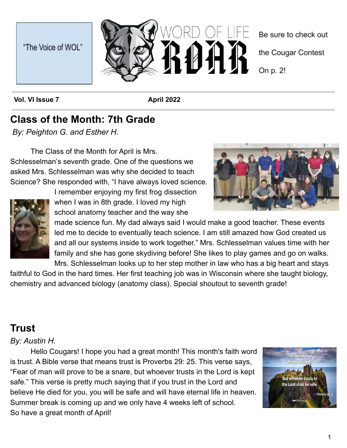



**Vol. VI Issue 7 April 2022** 

## **Class of the Month: 7th Grade**

*By: Peighton G. and Esther H.*

The Class of the Month for April is Mrs. Schlesselman's seventh grade. One of the questions we asked Mrs. Schlesselman was why she decided to teach Science? She responded with, "I have always loved science.



I remember enjoying my first frog dissection when I was in 8th grade. I loved my high school anatomy teacher and the way she



made science fun. My dad always said I would make a good teacher. These events led me to decide to eventually teach science. I am still amazed how God created us and all our systems inside to work together." Mrs. Schlesselman values time with her family and she has gone skydiving before! She likes to play games and go on walks.

Mrs. Schlesselman looks up to her step mother in law who has a big heart and stays faithful to God in the hard times. Her first teaching job was in Wisconsin where she taught biology, chemistry and advanced biology (anatomy class). Special shoutout to seventh grade!

## **Trust**

#### *By: Austin H.*

Hello Cougars! I hope you had a great month! This month's faith word is trust. A Bible verse that means trust is Proverbs 29: 25. This verse says, "Fear of man will prove to be a snare, but whoever trusts in the Lord is kept safe." This verse is pretty much saying that if you trust in the Lord and believe He died for you, you will be safe and will have eternal life in heaven. Summer break is coming up and we only have 4 weeks left of school. So have a great month of April!

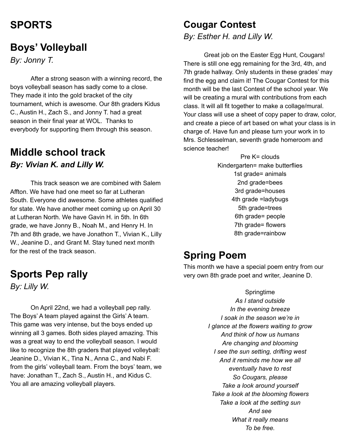## **SPORTS**

#### **Boys' Volleyball**

*By: Jonny T.*

After a strong season with a winning record, the boys volleyball season has sadly come to a close. They made it into the gold bracket of the city tournament, which is awesome. Our 8th graders Kidus C., Austin H., Zach S., and Jonny T. had a great season in their final year at WOL. Thanks to everybody for supporting them through this season.

#### **Middle school track** *By: Vivian K. and Lilly W.*

This track season we are combined with Salem Affton. We have had one meet so far at Lutheran South. Everyone did awesome. Some athletes qualified for state. We have another meet coming up on April 30 at Lutheran North. We have Gavin H. in 5th. In 6th grade, we have Jonny B., Noah M., and Henry H. In 7th and 8th grade, we have Jonathon T., Vivian K., Lilly W., Jeanine D., and Grant M. Stay tuned next month for the rest of the track season.

### **Sports Pep rally**

*By: Lilly W.*

On April 22nd, we had a volleyball pep rally. The Boys' A team played against the Girls' A team. This game was very intense, but the boys ended up winning all 3 games. Both sides played amazing. This was a great way to end the volleyball season. I would like to recognize the 8th graders that played volleyball: Jeanine D., Vivian K., Tina N., Anna C., and Nabi F. from the girls' volleyball team. From the boys' team, we have: Jonathan T., Zach S., Austin H., and Kidus C. You all are amazing volleyball players.

#### **Cougar Contest**

*By: Esther H. and Lilly W.*

Great job on the Easter Egg Hunt, Cougars! There is still one egg remaining for the 3rd, 4th, and 7th grade hallway. Only students in these grades' may find the egg and claim it! The Cougar Contest for this month will be the last Contest of the school year. We will be creating a mural with contributions from each class. It will all fit together to make a collage/mural. Your class will use a sheet of copy paper to draw, color, and create a piece of art based on what your class is in charge of. Have fun and please turn your work in to Mrs. Schlesselman, seventh grade homeroom and science teacher!

> Pre K= clouds Kindergarten= make butterflies 1st grade= animals 2nd grade=bees 3rd grade=houses 4th grade =ladybugs 5th grade=trees 6th grade= people 7th grade= flowers 8th grade=rainbow

#### **Spring Poem**

This month we have a special poem entry from our very own 8th grade poet and writer, Jeanine D.

> Springtime *As I stand outside In the evening breeze I soak in the season we're in I glance at the flowers waiting to grow And think of how us humans Are changing and blooming I see the sun setting, drifting west And it reminds me how we all eventually have to rest So Cougars, please Take a look around yourself Take a look at the blooming flowers Take a look at the setting sun And see What it really means To be free.*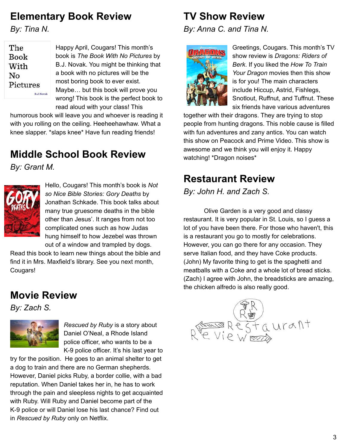## **Elementary Book Review**

*By: Tina N.*

| $\rm The$         |  |
|-------------------|--|
| Book              |  |
| With              |  |
| No                |  |
| $\rm Pictures$    |  |
| <b>B.J. Noval</b> |  |

Happy April, Cougars! This month's book is *The Book With No Pictures* by B.J. Novak. You might be thinking that a book with no pictures will be the most boring book to ever exist. Maybe… but this book will prove you wrong! This book is the perfect book to read aloud with your class! This

humorous book will leave you and whoever is reading it with you rolling on the ceiling. Heeheehawhaw. What a knee slapper. \*slaps knee\* Have fun reading friends!

# **Middle School Book Review**

*By: Grant M.*



Hello, Cougars! This month's book is *Not so Nice Bible Stories: Gory Deaths* by Jonathan Schkade. This book talks about many true gruesome deaths in the bible other than Jesus'. It ranges from not too complicated ones such as how Judas hung himself to how Jezebel was thrown out of a window and trampled by dogs.

Read this book to learn new things about the bible and find it in Mrs. Maxfield's library. See you next month, Cougars!

#### **Movie Review**

*By: Zach S.*



*Rescued by Ruby* is a story about Daniel O'Neal, a Rhode Island police officer, who wants to be a K-9 police officer. It's his last year to

try for the position. He goes to an animal shelter to get a dog to train and there are no German shepherds. However, Daniel picks Ruby, a border collie, with a bad reputation. When Daniel takes her in, he has to work through the pain and sleepless nights to get acquainted with Ruby. Will Ruby and Daniel become part of the K-9 police or will Daniel lose his last chance? Find out in *Rescued by Ruby* only on Netflix.

## **TV Show Review**

*By: Anna C. and Tina N.*



Greetings, Cougars. This month's TV show review is *Dragons: Riders of Berk*. If you liked the *How To Train Your Dragon* movies then this show is for you! The main characters include Hiccup, Astrid, Fishlegs, Snotlout, Ruffnut, and Tuffnut. These six friends have various adventures

together with their dragons. They are trying to stop people from hunting dragons. This noble cause is filled with fun adventures and zany antics. You can watch this show on Peacock and Prime Video. This show is awesome and we think you will enjoy it. Happy watching! \*Dragon noises\*

## **Restaurant Review**

*By: John H. and Zach S.*

Olive Garden is a very good and classy restaurant. It is very popular in St. Louis, so I guess a lot of you have been there. For those who haven't, this is a restaurant you go to mostly for celebrations. However, you can go there for any occasion. They serve Italian food, and they have Coke products. (John) My favorite thing to get is the spaghetti and meatballs with a Coke and a whole lot of bread sticks. (Zach) I agree with John, the breadsticks are amazing, the chicken alfredo is also really good.

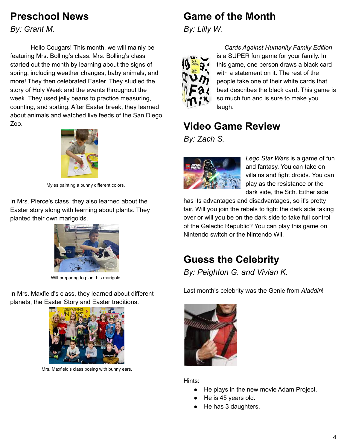### **Preschool News**

*By: Grant M.*

Hello Cougars! This month, we will mainly be featuring Mrs. Bolling's class. Mrs. Bolling's class started out the month by learning about the signs of spring, including weather changes, baby animals, and more! They then celebrated Easter. They studied the story of Holy Week and the events throughout the week. They used jelly beans to practice measuring, counting, and sorting. After Easter break, they learned about animals and watched live feeds of the San Diego Zoo.



Myles painting a bunny different colors.

In Mrs. Pierce's class, they also learned about the Easter story along with learning about plants. They planted their own marigolds.



Will preparing to plant his marigold.

In Mrs. Maxfield's class, they learned about different planets, the Easter Story and Easter traditions.



Mrs. Maxfield's class posing with bunny ears.

## **Game of the Month**

*By: Lilly W.*



*Cards Against Humanity Family Edition* is a SUPER fun game for your family. In this game, one person draws a black card with a statement on it. The rest of the people take one of their white cards that best describes the black card. This game is so much fun and is sure to make you laugh.

## **Video Game Review**

*By: Zach S.*



*Lego Star Wars* is a game of fun and fantasy. You can take on villains and fight droids. You can play as the resistance or the dark side, the Sith. Either side

has its advantages and disadvantages, so it's pretty fair. Will you join the rebels to fight the dark side taking over or will you be on the dark side to take full control of the Galactic Republic? You can play this game on Nintendo switch or the Nintendo Wii.

## **Guess the Celebrity**

*By: Peighton G. and Vivian K.*

Last month's celebrity was the Genie from *Aladdin*!



Hints:

- He plays in the new movie Adam Project.
- He is 45 years old.
- He has 3 daughters.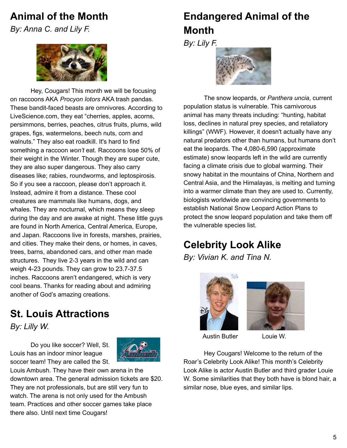#### **Animal of the Month**

*By: Anna C. and Lily F.*



Hey, Cougars! This month we will be focusing on raccoons AKA *Procyon Iotors* AKA trash pandas. These bandit-faced beasts are omnivores. According to LiveScience.com, they eat "cherries, apples, acorns, persimmons, berries, peaches, citrus fruits, plums, wild grapes, figs, watermelons, beech nuts, corn and walnuts." They also eat roadkill. It's hard to find something a raccoon *won't* eat. Raccoons lose 50% of their weight in the Winter. Though they are super cute, they are also super dangerous. They also carry diseases like; rabies, roundworms, and leptospirosis. So if you see a raccoon, please don't approach it. Instead, admire it from a distance. These cool creatures are mammals like humans, dogs, and whales. They are nocturnal, which means they sleep during the day and are awake at night. These little guys are found in North America, Central America, Europe, and Japan. Raccoons live in forests, marshes, prairies, and cities. They make their dens, or homes, in caves, trees, barns, abandoned cars, and other man made structures. They live 2-3 years in the wild and can weigh 4-23 pounds. They can grow to 23.7-37.5 inches. Raccoons aren't endangered, which is very cool beans. Thanks for reading about and admiring another of God's amazing creations.

### **St. Louis Attractions**

*By: Lilly W.*

Do you like soccer? Well, St. Louis has an indoor minor league soccer team! They are called the St.



Louis Ambush. They have their own arena in the downtown area. The general admission tickets are \$20. They are not professionals, but are still very fun to watch. The arena is not only used for the Ambush team. Practices and other soccer games take place there also. Until next time Cougars!

# **Endangered Animal of the Month**

*By: Lily F.*



The snow leopards, or *Panthera uncia*, current population status is vulnerable. This carnivorous animal has many threats including: "hunting, habitat loss, declines in natural prey species, and retaliatory killings" (WWF). However, it doesn't actually have any natural predators other than humans, but humans don't eat the leopards. The 4,080-6,590 (approximate estimate) snow leopards left in the wild are currently facing a climate crisis due to global warming. Their snowy habitat in the mountains of China, Northern and Central Asia, and the Himalayas, is melting and turning into a warmer climate than they are used to. Currently, biologists worldwide are convincing governments to establish National Snow Leopard Action Plans to protect the snow leopard population and take them off the vulnerable species list.

# **Celebrity Look Alike**

*By: Vivian K. and Tina N.*





Austin Butler Louie W.

Hey Cougars! Welcome to the return of the Roar's Celebrity Look Alike! This month's Celebrity Look Alike is actor Austin Butler and third grader Louie W. Some similarities that they both have is blond hair, a similar nose, blue eyes, and similar lips.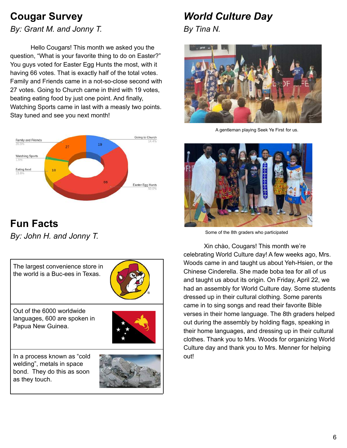## **Cougar Survey**

*By: Grant M. and Jonny T.*

Hello Cougars! This month we asked you the question, "What is your favorite thing to do on Easter?" You guys voted for Easter Egg Hunts the most, with it having 66 votes. That is exactly half of the total votes. Family and Friends came in a not-so-close second with 27 votes. Going to Church came in third with 19 votes, beating eating food by just one point. And finally, Watching Sports came in last with a measly two points. Stay tuned and see you next month!



## **Fun Facts**

*By: John H. and Jonny T.*

The largest convenience store in the world is a Buc-ees in Texas.



Out of the 6000 worldwide languages, 600 are spoken in Papua New Guinea.



In a process known as "cold welding", metals in space bond. They do this as soon as they touch.



# *World Culture Day*

*By Tina N.*



A gentleman playing Seek Ye First for us.



Some of the 8th graders who participated

Xin chào, Cougars! This month we're celebrating World Culture day! A few weeks ago, Mrs. Woods came in and taught us about Yeh-Hsien, or the Chinese Cinderella. She made boba tea for all of us and taught us about its origin. On Friday, April 22, we had an assembly for World Culture day. Some students dressed up in their cultural clothing. Some parents came in to sing songs and read their favorite Bible verses in their home language. The 8th graders helped out during the assembly by holding flags, speaking in their home languages, and dressing up in their cultural clothes. Thank you to Mrs. Woods for organizing World Culture day and thank you to Mrs. Menner for helping out!